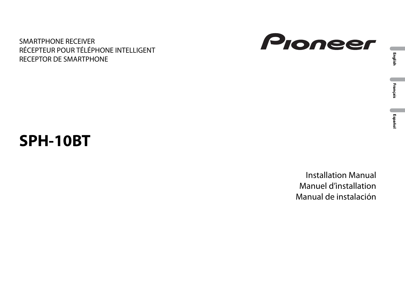SMARTPHONE RECEIVER RÉCEPTEUR POUR TÉLÉPHONE INTELLIGENT RECEPTOR DE SMARTPHONE

# Pioneer

# **Español**

# **SPH-10BT**

Installation Manual Manuel d'installation Manual de instalación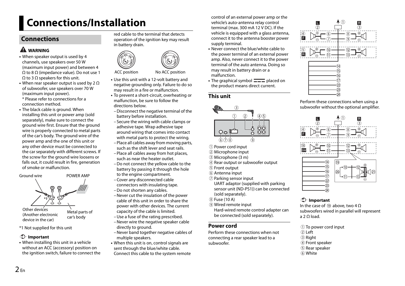# **Connections/Installation**

# **Connections**

# **WARNING**

- **•** When speaker output is used by 4 channels, use speakers over 50 W (maximum input power) and between 4 Ω to 8 Ω (impedance value). Do not use 1  $Ω$  to 3  $Ω$  speakers for this unit.
- **•** When rear speaker output is used by 2 Ω of subwoofer, use speakers over 70 W (maximum input power). \* Please refer to connections for a connection method.
- **•** The black cable is ground. When installing this unit or power amp (sold separately), make sure to connect the ground wire first. Ensure that the ground wire is properly connected to metal parts of the car's body. The ground wire of the power amp and the one of this unit or any other device must be connected to the car separately with different screws. If the screw for the ground wire loosens or falls out, it could result in fire, generation of smoke or malfunction.



\*1 Not supplied for this unit

## **Important**

**•** When installing this unit in a vehicle without an ACC (accessory) position on the ignition switch, failure to connect the red cable to the terminal that detects operation of the ignition key may result in battery drain.



ACC position No ACC position

- **•** Use this unit with a 12-volt battery and negative grounding only. Failure to do so may result in a fire or malfunction.
- **•** To prevent a short-circuit, overheating or malfunction, be sure to follow the directions below.
- Disconnect the negative terminal of the battery before installation.
- Secure the wiring with cable clamps or adhesive tape. Wrap adhesive tape around wiring that comes into contact with metal parts to protect the wiring. – Place all cables away from moving parts,
- such as the shift lever and seat rails. – Place all cables away from hot places,
- such as near the heater outlet.
- Do not connect the yellow cable to the battery by passing it through the hole to the engine compartment.
- Cover any disconnected cable connectors with insulating tape.
- Do not shorten any cables.
- Never cut the insulation of the power cable of this unit in order to share the power with other devices. The current capacity of the cable is limited.
- Use a fuse of the rating prescribed.
- Never wire the negative speaker cable directly to ground.
- Never band together negative cables of multiple speakers.
- **•** When this unit is on, control signals are sent through the blue/white cable. Connect this cable to the system remote

control of an external power amp or the vehicle's auto-antenna relay control terminal (max. 300 mA 12 V DC). If the vehicle is equipped with a glass antenna, connect it to the antenna booster power supply terminal.

- **•** Never connect the blue/white cable to the power terminal of an external power amp. Also, never connect it to the power terminal of the auto antenna. Doing so may result in battery drain or a malfunction.
- The graphical symbol  $\overline{---}$  placed on the product means direct current.

## **This unit**



- Power cord input
- Microphone input
- Microphone (3 m)
- Rear output or subwoofer output
- **5** Front output
- Antenna input
- Parking sensor input
- UART adaptor (supplied with parking sensor unit (ND-PS1)) can be connected (sold separately).
- Fuse (10 A)
- Wired remote input Hard-wired remote control adapter can
	- be connected (sold separately).

## **Power cord**

Perform these connections when not connecting a rear speaker lead to a subwoofer.



Perform these connections when using a subwoofer without the optional amplifier.



# **Important**

In the case of  $\overline{19}$  above, two 4  $\Omega$ subwoofers wired in parallel will represent a 2 Ω load.

- $<sup>1</sup>$  To power cord input</sup>
- Left
- 3 Right
- Front speaker Rear speaker
- White

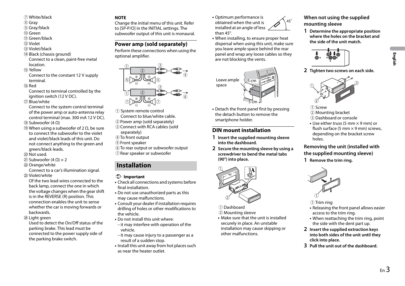- White/black
- Gray
- **9** Gray/black
- <sup>10</sup> Green
- Green/black
- Violet
- Violet/black
- Black (chassis ground)

Connect to a clean, paint-free metal location.

Yellow

Connect to the constant 12 V supply terminal.

**B**ed

Connect to terminal controlled by the ignition switch (12 V DC).

17) Blue/white

Connect to the system control terminal of the power amp or auto-antenna relay control terminal (max. 300 mA 12 V DC).

- $(8)$  Subwoofer (4 Ω)
- When using a subwoofer of 2 Ω, be sure to connect the subwoofer to the violet and violet/black leads of this unit. Do not connect anything to the green and green/black leads.
- Not used.
- Subwoofer (4 Ω) × 2
- 22 Orange/white
- Connect to a car's illumination signal.
- Violet/white

Of the two lead wires connected to the back lamp, connect the one in which the voltage changes when the gear shift is in the REVERSE (R) position. This connection enables the unit to sense whether the car is moving forwards or backwards.

Light green

Used to detect the On/Off status of the parking brake. This lead must be connected to the power supply side of the parking brake switch.

#### **NOTE**

Change the initial menu of this unit. Refer to [SP-P/O] in the INITIAL settings. The subwoofer output of this unit is monaural.

## **Power amp (sold separately)**

Perform these connections when using the optional amplifier.



- System remote control
	- Connect to blue/white cable.
- Power amp (sold separately)
- Connect with RCA cables (sold separately)
- To front output
- **5** Front speaker
- To rear output or subwoofer output
- Rear speaker or subwoofer

# **Installation**

## **Important**

- **•** Check all connections and systems before final installation.
- **•** Do not use unauthorized parts as this may cause malfunctions.
- **•** Consult your dealer if installation requires drilling of holes or other modifications to the vehicle.
- **•** Do not install this unit where:
- it may interfere with operation of the vehicle.
- it may cause injury to a passenger as a result of a sudden stop.
- **•** Install this unit away from hot places such as near the heater outlet.
- **•** Optimum performance is obtained when the unit is installed at an angle of less than 45°.
- **•** When installing, to ensure proper heat dispersal when using this unit, make sure you leave ample space behind the rear panel and wrap any loose cables so they are not blocking the vents.



**•** Detach the front panel first by pressing the detach button to remove the smartphone holder.

## **DIN mount installation**

- **1 Insert the supplied mounting sleeve into the dashboard.**
- **2 Secure the mounting sleeve by using a screwdriver to bend the metal tabs (90°) into place.**



- Dashboard
- Mounting sleeve
- **•** Make sure that the unit is installed securely in place. An unstable installation may cause skipping or other malfunctions.

**When not using the supplied mounting sleeve**

**1 Determine the appropriate position where the holes on the bracket and the side of the unit match.**



**2 Tighten two screws on each side.**



- Screw
- Mounting bracket
- Dashboard or console
- **•** Use either truss (5 mm × 9 mm) or flush surface (5 mm  $\times$  9 mm) screws. depending on the bracket screw holes.

## **Removing the unit (installed with the supplied mounting sleeve)**

**1 Remove the trim ring.**



 $<sup>1</sup>$  Trim ring</sup>

- **•** Releasing the front panel allows easier access to the trim ring.
- **•** When reattaching the trim ring, point the side with the dent part up.
- **2 Insert the supplied extraction keys into both sides of the unit until they click into place.**
- **3 Pull the unit out of the dashboard.**

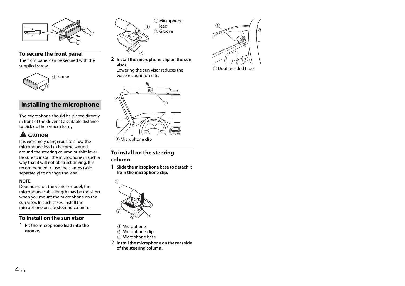

## **To secure the front panel**

The front panel can be secured with the supplied screw.



# **Installing the microphone**

The microphone should be placed directly in front of the driver at a suitable distance to pick up their voice clearly.

# **A** CAUTION

It is extremely dangerous to allow the microphone lead to become wound around the steering column or shift lever. Be sure to install the microphone in such a way that it will not obstruct driving. It is recommended to use the clamps (sold separately) to arrange the lead.

#### **NOTE**

Depending on the vehicle model, the microphone cable length may be too short when you mount the microphone on the sun visor. In such cases, install the microphone on the steering column.

## **To install on the sun visor**

**1 Fit the microphone lead into the groove.**



Microphone lead Groove

**2 Install the microphone clip on the sun visor.** Lowering the sun visor reduces the voice recognition rate.



Microphone clip

#### **To install on the steering column**

**1 Slide the microphone base to detach it from the microphone clip.**



- Microphone
- Microphone clip
- Microphone base
- **2 Install the microphone on the rear side of the steering column.**



Double-sided tape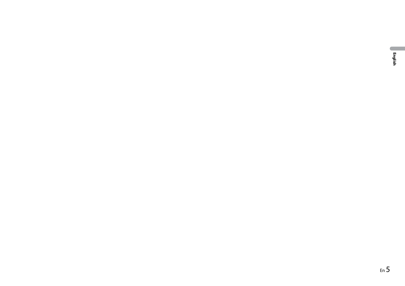English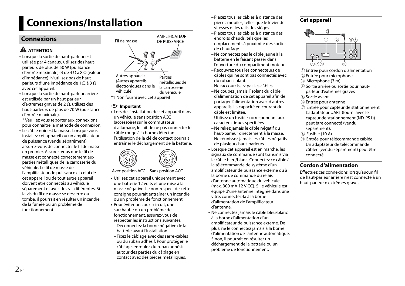# **Connexions/Installation**

# **Connexions** Fil de masse

# **A** ATTENTION

- **•** Lorsque la sortie de haut-parleur est utilisée par 4 canaux, utilisez des hautparleurs de plus de 50 W (puissance d'entrée maximale) et de 4 Ω à 8 Ω (valeur d'impédance). N'utilisez pas de hautparleurs d'une impédance de 1 Ω à 3 Ω avec cet appareil.
- **•** Lorsque la sortie de haut-parleur arrière est utilisée par un haut-parleur d'extrêmes graves de 2 Ω, utilisez des haut-parleurs de plus de 70 W (puissance d'entrée maximale).

\* Veuillez vous reporter aux connexions pour connaître la méthode de connexion.

• Le câble noir est la masse. Lorsque vous installez cet appareil ou un amplificateur de puissance (vendu séparément), assurez-vous de connecter le fil de masse en premier. Assurez-vous que le fil de masse est connecté correctement aux parties métalliques de la carrosserie du véhicule. Le fil de masse de l'amplificateur de puissance et celui de cet appareil ou de tout autre appareil doivent être connectés au véhicule séparément et avec des vis différentes. Si la vis du fil de masse se desserre ou tombe, il pourrait en résulter un incendie, de la fumée ou un problème de fonctionnement.



- Autres appareils (Autres appareils électroniques dans le véhicule) Parties métalliques de la carrosserie du véhicule
- \*1 Non fourni avec cet appareil

#### **Important**

**•** Lors de l'installation de cet appareil dans un véhicule sans position ACC (accessoire) sur le commutateur d'allumage, le fait de ne pas connecter le câble rouge à la borne détectant l'utilisation de la clé de contact pourrait entraîner le déchargement de la batterie.



Avec position ACC Sans position ACC

- **•** Utilisez cet appareil uniquement avec une batterie 12 volts et une mise à la masse négative. Le non-respect de cette consigne pourrait entraîner un incendie ou un problème de fonctionnement.
- **•** Pour éviter un court-circuit, une surchauffe ou un problème de fonctionnement, assurez-vous de respecter les instructions suivantes. – Déconnectez la borne négative de la batterie avant l'installation.
- Fixez le câblage avec des serre-câbles ou du ruban adhésif. Pour protéger le câblage, enroulez du ruban adhésif autour des parties du câblage en contact avec des pièces métalliques.
- Placez tous les câbles à distance des pièces mobiles, telles que le levier de vitesses et les rails des sièges.
- Placez tous les câbles à distance des endroits chauds, tels que les emplacements à proximité des sorties de chauffage.
- Ne connectez pas le câble jaune à la batterie en le faisant passer dans l'ouverture du compartiment moteur.
- Recouvrez tous les connecteurs de câbles qui ne sont pas connectés avec du ruban isolant.
- Ne raccourcissez pas les câbles.
- Ne coupez jamais l'isolant du câble d'alimentation de cet appareil afin de partager l'alimentation avec d'autres appareils. La capacité en courant du câble est limitée.
- Utilisez un fusible correspondant aux caractéristiques spécifiées.
- Ne reliez jamais le câble négatif du haut-parleur directement à la masse.
- Ne réunissez jamais les câbles négatifs de plusieurs haut-parleurs.
- **•** Lorsque cet appareil est en marche, les signaux de commande sont transmis via le câble bleu/blanc. Connectez ce câble à la télécommande de système d'un amplificateur de puissance externe ou à la borne de commande du relais d'antenne automatique du véhicule (max. 300 mA 12 V CC). Si le véhicule est équipé d'une antenne intégrée dans une vitre, connectez-la à la borne d'alimentation de l'amplificateur d'antenne.
- **•** Ne connectez jamais le câble bleu/blanc à la borne d'alimentation d'un amplificateur de puissance externe. De plus, ne le connectez jamais à la borne d'alimentation de l'antenne automatique. Sinon, il pourrait en résulter un déchargement de la batterie ou un problème de fonctionnement.

# **Cet appareil**



- Entrée pour cordon d'alimentation
- Entrée pour microphone
- Microphone (3 m)
- Sortie arrière ou sortie pour hautparleur d'extrêmes graves
- Sortie avant
- Entrée pour antenne
- Entrée pour capteur de stationnement L'adaptateur UART (fourni avec le capteur de stationnement (ND-PS1)) peut être connecté (vendu séparément).
- Fusible (10 A)
- Entrée pour télécommande câblée Un adaptateur de télécommande câblée (vendu séparément) peut être connecté.

## **Cordon d'alimentation**

Effectuez ces connexions lorsqu'aucun fil de haut-parleur arrière n'est connecté à un haut-parleur d'extrêmes graves.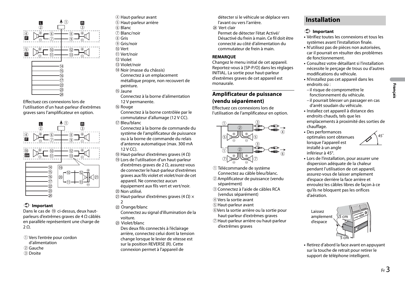

Effectuez ces connexions lors de l'utilisation d'un haut-parleur d'extrêmes graves sans l'amplificateur en option.



### **Important**

Dans le cas de <sup>(19)</sup> ci-dessus, deux hautparleurs d'extrêmes graves de 4 Ω câblés en parallèle représentent une charge de 2 Ω.

- Vers l'entrée pour cordon
- d'alimentation
- Gauche
- Droite
- Haut-parleur avant
- Haut-parleur arrière
- Blanc
- Blanc/noir Gris
- Gris/noir
- Vert
- Vert/noir
- Violet
- Violet/noir
- Noir (masse du châssis)
	- Connectez à un emplacement métallique propre, non recouvert de peinture.
- Jaune
- Connectez à la borne d'alimentation 12 V permanente.
- <sup>16</sup> Rouge
- Connectez à la borne contrôlée par le commutateur d'allumage (12 V CC).
- Bleu/blanc
- Connectez à la borne de commande du système de l'amplificateur de puissance ou à la borne de commande du relais d'antenne automatique (max. 300 mA  $12 V$  CC).
- Haut-parleur d'extrêmes graves (4 Ω)
- Lors de l'utilisation d'un haut-parleur d'extrêmes graves de 2 Ω, assurez-vous de connecter le haut-parleur d'extrêmes graves aux fils violet et violet/noir de cet appareil. Ne connectez aucun
- équipement aux fils vert et vert/noir.  $20$  Non utilisé
- $\textcircled{2}$ ) Haut-parleur d'extrêmes graves (4 Ω)  $\times$
- 2 22 Orange/blanc
- Connectez au signal d'illumination de la
- voiture.
- 23 Violet/blanc
- Des deux fils connectés à l'éclairage arrière, connectez celui dont la tension change lorsque le levier de vitesse est sur la position REVERSE (R). Cette connexion permet à l'appareil de

détecter si le véhicule se déplace vers l'avant ou vers l'arrière.

- 24 Vert clair
- Permet de détecter l'état Activé/ Désactivé du frein à main. Ce fil doit être connecté au côté d'alimentation du commutateur de frein à main.

#### **REMARQUE**

Changez le menu initial de cet appareil. Reportez-vous à [SP-P/O] dans les réglages INITIAL. La sortie pour haut-parleur d'extrêmes graves de cet appareil est monaurale.

## **Amplificateur de puissance (vendu séparément)**

Effectuez ces connexions lors de l'utilisation de l'amplificateur en option.



- Télécommande de système Connectez au câble bleu/blanc.
- Amplificateur de puissance (vendu séparément)
- Connectez à l'aide de câbles RCA (vendus séparément)
- Vers la sortie avant
- Haut-parleur avant
- Vers la sortie arrière ou la sortie pour haut-parleur d'extrêmes graves
- Haut-parleur arrière ou haut-parleur d'extrêmes graves

# **Installation**

## **Important**

- **•** Vérifiez toutes les connexions et tous les systèmes avant l'installation finale.
- **•** N'utilisez pas de pièces non autorisées, car il pourrait en résulter des problèmes de fonctionnement.
- **•** Consultez votre détaillant si l'installation nécessite le perçage de trous ou d'autres modifications du véhicule.
- **•** N'installez pas cet appareil dans les endroits où :
- il risque de compromettre le fonctionnement du véhicule.
- il pourrait blesser un passager en cas d'arrêt soudain du véhicule.
- **•** Installez cet appareil à distance des endroits chauds, tels que les emplacements à proximité des sorties de chauffage.
- **•** Des performances optimales sont obtenues lorsque l'appareil est installé à un angle inférieur à 45°.



**•** Lors de l'installation, pour assurer une dispersion adéquate de la chaleur pendant l'utilisation de cet appareil, assurez-vous de laisser amplement d'espace derrière la face arrière et enroulez les câbles libres de façon à ce qu'ils ne bloquent pas les orifices d'aération.



**•** Retirez d'abord la face avant en appuyant sur la touche de retrait pour retirer le support de téléphone intelligent.

**Français**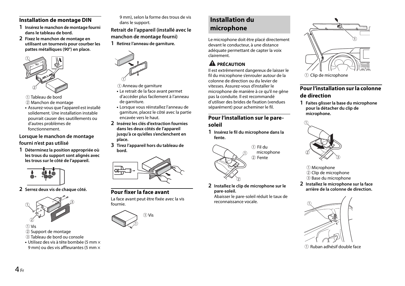### **Installation de montage DIN**

- **1 Insérez le manchon de montage fourni dans le tableau de bord.**
- **2 Fixez le manchon de montage en utilisant un tournevis pour courber les pattes métalliques (90°) en place.**



Tableau de bord

- Manchon de montage
- **•** Assurez-vous que l'appareil est installé solidement. Une installation instable pourrait causer des sautillements ou d'autres problèmes de fonctionnement.

### **Lorsque le manchon de montage fourni n'est pas utilisé**

**1 Déterminez la position appropriée où les trous du support sont alignés avec les trous sur le côté de l'appareil.**



**2 Serrez deux vis de chaque côté.**



Vis

- 2 Support de montage
- Tableau de bord ou console
- **•** Utilisez des vis à tête bombée (5 mm × 9 mm) ou des vis affleurantes (5 mm ×

9 mm), selon la forme des trous de vis dans le support.

**Retrait de l'appareil (installé avec le manchon de montage fourni)**

**1 Retirez l'anneau de garniture.**



- Anneau de garniture
- **•** Le retrait de la face avant permet d'accéder plus facilement à l'anneau de garniture.
- **•** Lorsque vous réinstallez l'anneau de garniture, placez le côté avec la partie encavée vers le haut.
- **2 Insérez les clés d'extraction fournies dans les deux côtés de l'appareil jusqu'à ce qu'elles s'enclenchent en place.**
- **3 Tirez l'appareil hors du tableau de bord.**



**Pour fixer la face avant** La face avant peut être fixée avec la vis fournie.



# **Installation du microphone**

Le microphone doit être placé directement devant le conducteur, à une distance adéquate permettant de capter la voix clairement.

# **A** PRÉCAUTION

Il est extrêmement dangereux de laisser le fil du microphone s'enrouler autour de la colonne de direction ou du levier de vitesses. Assurez-vous d'installer le microphone de manière à ce qu'il ne gêne pas la conduite. Il est recommandé d'utiliser des brides de fixation (vendues séparément) pour acheminer le fil.

## **Pour l'installation sur le paresoleil**

**1 Insérez le fil du microphone dans la fente.**



**2 Installez le clip de microphone sur le pare-soleil.**

Abaisser le pare-soleil réduit le taux de reconnaissance vocale.



## **Pour l'installation sur la colonne de direction**

**1 Faites glisser la base du microphone pour la détacher du clip de microphone.**



Microphone

- 2 Clip de microphone
- Base du microphone
- **2 Installez le microphone sur la face arrière de la colonne de direction.**



Ruban adhésif double face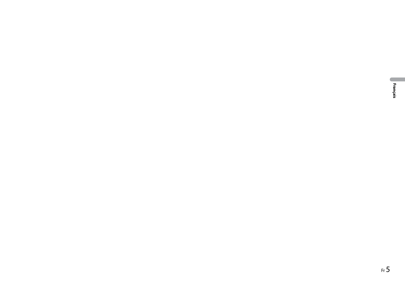Français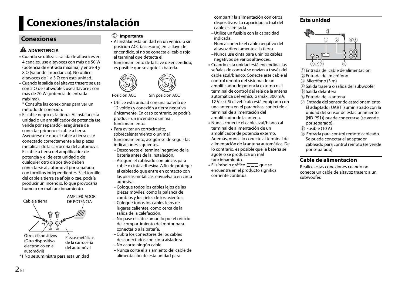# **Conexiones/instalación**

# **Conexiones**

# **A** ADVERTENCIA

- **•** Cuando se utiliza la salida de altavoces en 4 canales, use altavoces con más de 50 W (potencia de entrada máxima) y entre 4 y 8 Ω (valor de impedancia). No utilice altavoces de 1 a 3 Ω con esta unidad.
- **•** Cuando la salida del altavoz trasero se usa con 2 Ω de subwoofer, use altavoces con más de 70 W (potencia de entrada máxima).

\* Consulte las conexiones para ver un método de conexión.

**•** El cable negro es la tierra. Al instalar esta unidad o un amplificador de potencia (se vende por separado), asegúrese de conectar primero el cable a tierra. Asegúrese de que el cable a tierra esté conectado correctamente a las piezas metálicas de la carrocería del automóvil. El cable a tierra del amplificador de potencia y el de esta unidad o de cualquier otro dispositivo deben conectarse al automóvil por separado con tornillos independientes. Si el tornillo del cable a tierra se afloja o cae, podría producir un incendio, lo que provocaría humo o un mal funcionamiento.



(Otro dispositivo electrónico en el automóvil)

\*1 No se suministra para esta unidad

de la carrocería del automóvil

#### **Importante**

- **•** Al instalar esta unidad en un vehículo sin posición ACC (accesorio) en la llave de encendido, si no se conecta el cable rojo
- al terminal que detecta el funcionamiento de la llave de encendido,

es posible que se agote la batería.



Posición ACC Sin posición ACC

- **•** Utilice esta unidad con una batería de 12 voltios y conexión a tierra negativa únicamente. En caso contrario, se podría producir un incendio o un mal funcionamiento.
- **•** Para evitar un cortocircuito, sobrecalentamiento o un mal funcionamiento, asegúrese de seguir las indicaciones siguientes.
- Desconecte el terminal negativo de la batería antes de la instalación.
- Asegure el cableado con pinzas para cable o cinta adhesiva. A fin de proteger el cableado que entre en contacto con las piezas metálicas, envuélvalo en cinta adhesiva.
- Coloque todos los cables lejos de las piezas móviles, como la palanca de cambios y los rieles de los asientos.
- Coloque todos los cables lejos de lugares calientes, como cerca de la salida de la calefacción.
- No pase el cable amarillo por el orificio del compartimiento del motor para conectarlo a la batería.
- Cubra los conectores de los cables desconectados con cinta aisladora.
- No acorte ningún cable.
- Nunca corte el aislamiento del cable de alimentación de esta unidad para

compartir la alimentación con otros dispositivos. La capacidad actual del cable es limitada.

- Utilice un fusible con la capacidad indicada.
- Nunca conecte el cable negativo del altavoz directamente a la tierra.
- Nunca use cinta para unir los cables negativos de varios altavoces.
- **•** Cuando esta unidad está encendida, las señales de control se envían a través del cable azul/blanco. Conecte este cable al control remoto del sistema de un amplificador de potencia externo o al terminal de control del relé de la antena automática del vehículo (máx. 300 mA, 12 V cc). Si el vehículo está equipado con una antena en el parabrisas, conéctelo al terminal de alimentación del amplificador de la antena.
- **•** Nunca conecte el cable azul/blanco al terminal de alimentación de un amplificador de potencia externo. Además, nunca lo conecte al terminal de alimentación de la antena automática. De lo contrario, es posible que la batería se agote o se produzca un mal funcionamiento.
- El símbolo gráfico **que se** encuentra en el producto significa corriente continua.

## **Esta unidad**



- Entrada del cable de alimentación
- Entrada del micrófono
- Micrófono (3 m)
- Salida trasera o salida del subwoofer
- Salida delantera
- Entrada de la antena
- Entrada del sensor de estacionamiento El adaptador UART (suministrado con la unidad del sensor de estacionamiento (ND-PS1)) puede conectarse (se vende por separado).
- Fusible (10 A)
- Entrada para control remoto cableado Se puede conectar el adaptador cableado para control remoto (se vende por separado).

## **Cable de alimentación**

Realice estas conexiones cuando no conecte un cable de altavoz trasero a un subwoofer.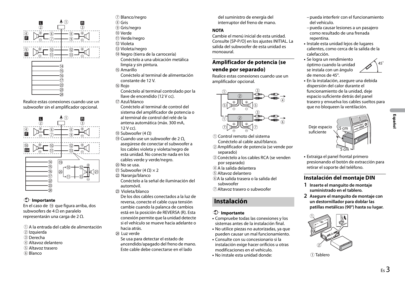

Realice estas conexiones cuando use un subwoofer sin el amplificador opcional.



## **Importante**

En el caso de <sup>(19)</sup> que figura arriba, dos subwoofers de 4 Ω en paralelo representarán una carga de 2 Ω.

- A la entrada del cable de alimentación
- 2 Izquierda
- Derecha
- Altavoz delantero
- Altavoz trasero
- 6 Blanco
- Blanco/negro
- Gris Gris/negro
- Verde
- Verde/negro
- Violeta
- Violeta/negro
	- Negro (tierra de la carrocería) Conéctelo a una ubicación metálica limpia y sin pintura.
- Amarillo
- Conéctelo al terminal de alimentación constante de 12 V.
- **16 Rojo**

Conéctelo al terminal controlado por la llave de encendido (12 V cc).

- Azul/blanco
- Conéctelo al terminal de control del sistema del amplificador de potencia o al terminal de control del relé de la antena automática (máx. 300 mA,  $12$  V cc).
- Subwoofer (4 Ω)
- Cuando use un subwoofer de 2 Ω, asegúrese de conectar el subwoofer a los cables violeta y violeta/negro de esta unidad. No conecte nada en los cables verde y verde/negro.
- No se usa.
- $\mathcal{D}$  Subwoofer (4  $\Omega$ ) × 2
- <sup>22</sup> Narania/blanco
- Conéctelo a la señal de iluminación del automóvil.
- Violeta/blanco

De los dos cables conectados a la luz de reversa, conecte el cable cuya tensión cambie cuando la palanca de cambios está en la posición de REVERSA (R). Esta conexión permite que la unidad detecte si el vehículo se mueve hacia adelante o hacia atrás.

- Luz verde
	- Se usa para detectar el estado de encendido/apagado del freno de mano. Este cable debe conectarse en el lado

del suministro de energía del interruptor del freno de mano.

#### **NOTA**

Cambie el menú inicial de esta unidad. Consulte [SP-P/O] en los ajustes INITIAL. La salida del subwoofer de esta unidad es monoaural.

## **Amplificador de potencia (se vende por separado)**

Realice estas conexiones cuando use un amplificador opcional.



- Control remoto del sistema Conéctelo al cable azul/blanco.
- Amplificador de potencia (se vende por separado)
- Conéctelo a los cables RCA (se venden por separado)
- A la salida delantera
- Altavoz delantero
- A la salida trasera o la salida del subwoofer
- Altavoz trasero o subwoofer

# **Instalación**

## **Importante**

- **•** Compruebe todas las conexiones y los sistemas antes de la instalación final.
- **•** No utilice piezas no autorizadas, ya que pueden causar un mal funcionamiento.
- **•** Consulte con su concesionario si la instalación exige hacer orificios u otras modificaciones en el vehículo.
- **•** No instale esta unidad donde:
- pueda interferir con el funcionamiento del vehículo.
- pueda causar lesiones a un pasajero como resultado de una frenada repentina.
- **•** Instale esta unidad lejos de lugares calientes, como cerca de la salida de la calefacción.
- **•** Se logra un rendimiento óptimo cuando la unidad se instala con un ángulo de menos de 45°.



**•** En la instalación, asegure una debida dispersión del calor durante el funcionamiento de la unidad, deje espacio suficiente detrás del panel trasero y envuelva los cables sueltos para que no bloqueen la ventilación.



**•** Extraiga el panel frontal primero presionando el botón de extracción para retirar el soporte del teléfono.

### **Instalación del montaje DIN**

- **1 Inserte el manguito de montaje suministrado en el tablero.**
- **2 Asegure el manguito de montaje con un destornillador para doblar las patillas metálicas (90°) hasta su lugar.**



Tablero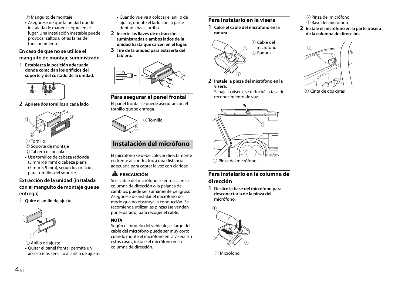- Manguito de montaje
- **•** Asegúrese de que la unidad quede instalada de manera segura en el lugar. Una instalación inestable puede provocar saltos u otras fallas de funcionamiento.

### **En caso de que no se utilice el manguito de montaje suministrado**

**1 Establezca la posición adecuada donde coincidan los orificios del soporte y del costado de la unidad.**



**2 Apriete dos tornillos a cada lado.**



- Tornillo
- 2 Soporte de montaje
- Tablero o consola
- **•** Use tornillos de cabeza redonda (5 mm × 9 mm) o cabeza plana (5 mm × 9 mm), según los orificios para tornillos del soporte.

### **Extracción de la unidad (instalada con el manguito de montaje que se entrega)**

**1 Quite el anillo de ajuste.**



- Anillo de ajuste
- **•** Quitar el panel frontal permite un acceso más sencillo al anillo de ajuste.
- **•** Cuando vuelva a colocar el anillo de ajuste, oriente el lado con la parte dentada hacia arriba.
- **2 Inserte las llaves de extracción suministradas a ambos lados de la unidad hasta que calcen en el lugar.**
- **3 Tire de la unidad para extraerla del tablero.**



## **Para asegurar el panel frontal**

El panel frontal se puede asegurar con el tornillo que se entrega.



# **Instalación del micrófono**

El micrófono se debe colocar directamente en frente al conductor, a una distancia adecuada para captar la voz con claridad.

## **A** PRECAUCIÓN

Si el cable del micrófono se enrosca en la columna de dirección o la palanca de cambios, puede ser sumamente peligroso. Asegúrese de instalar el micrófono de modo que no obstruya la conducción. Se recomienda utilizar las pinzas (se venden por separado) para recoger el cable.

### **NOTA**

Según el modelo del vehículo, el largo del cable del micrófono puede ser muy corto cuando monte el micrófono en la visera. En estos casos, instale el micrófono en la columna de dirección.

## **Para instalarlo en la visera**

**1 Calce el cable del micrófono en la ranura.**



**2 Instale la pinza del micrófono en la visera.**

Si baja la visera, se reducirá la tasa de reconocimiento de voz.



- Pinza del micrófono
- Base del micrófono
- **2 Instale el micrófono en la parte trasera de la columna de dirección.**



Cinta de dos caras



## **Para instalarlo en la columna de dirección**

**1 Deslice la base del micrófono para desconectarla de la pinza del micrófono.**



Micrófono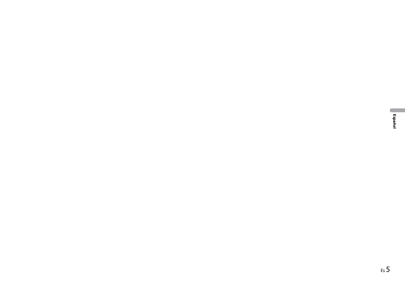Español

 $\overline{\phantom{a}}$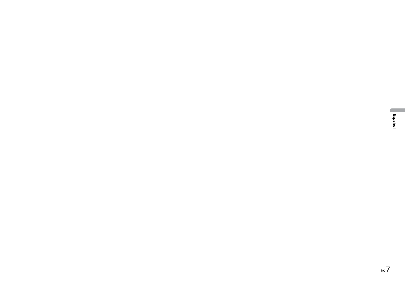Español